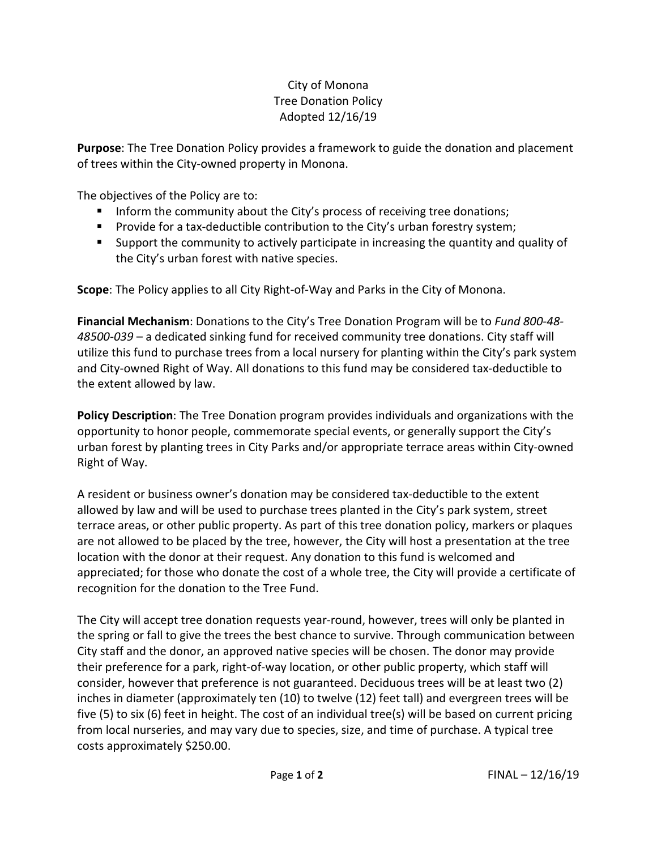## City of Monona Tree Donation Policy Adopted 12/16/19

**Purpose**: The Tree Donation Policy provides a framework to guide the donation and placement of trees within the City-owned property in Monona.

The objectives of the Policy are to:

- **Inform the community about the City's process of receiving tree donations;**
- **Provide for a tax-deductible contribution to the City's urban forestry system;**
- Support the community to actively participate in increasing the quantity and quality of the City's urban forest with native species.

**Scope**: The Policy applies to all City Right-of-Way and Parks in the City of Monona.

**Financial Mechanism**: Donations to the City's Tree Donation Program will be to *Fund 800-48- 48500-039* – a dedicated sinking fund for received community tree donations. City staff will utilize this fund to purchase trees from a local nursery for planting within the City's park system and City-owned Right of Way. All donations to this fund may be considered tax-deductible to the extent allowed by law.

**Policy Description**: The Tree Donation program provides individuals and organizations with the opportunity to honor people, commemorate special events, or generally support the City's urban forest by planting trees in City Parks and/or appropriate terrace areas within City-owned Right of Way.

A resident or business owner's donation may be considered tax-deductible to the extent allowed by law and will be used to purchase trees planted in the City's park system, street terrace areas, or other public property. As part of this tree donation policy, markers or plaques are not allowed to be placed by the tree, however, the City will host a presentation at the tree location with the donor at their request. Any donation to this fund is welcomed and appreciated; for those who donate the cost of a whole tree, the City will provide a certificate of recognition for the donation to the Tree Fund.

The City will accept tree donation requests year-round, however, trees will only be planted in the spring or fall to give the trees the best chance to survive. Through communication between City staff and the donor, an approved native species will be chosen. The donor may provide their preference for a park, right-of-way location, or other public property, which staff will consider, however that preference is not guaranteed. Deciduous trees will be at least two (2) inches in diameter (approximately ten (10) to twelve (12) feet tall) and evergreen trees will be five (5) to six (6) feet in height. The cost of an individual tree(s) will be based on current pricing from local nurseries, and may vary due to species, size, and time of purchase. A typical tree costs approximately \$250.00.